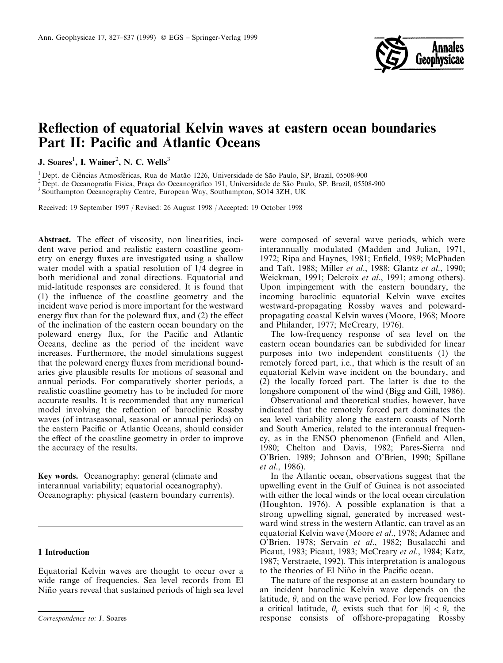

# Reflection of equatorial Kelvin waves at eastern ocean boundaries Part II: Pacific and Atlantic Oceans

J. Soares<sup>1</sup>, I. Wainer<sup>2</sup>, N. C. Wells<sup>3</sup>

<sup>1</sup> Dept. de Ciências Atmosféricas, Rua do Matão 1226, Universidade de São Paulo, SP, Brazil, 05508-900<br><sup>2</sup> Dept. de Oceanografia Física, Praça do Oceanográfico 191, Universidade de São Paulo, SP, Brazil, 05508-900<br><sup>3</sup> So

Received: 19 September 1997 / Revised: 26 August 1998 / Accepted: 19 October 1998

Abstract. The effect of viscosity, non linearities, incident wave period and realistic eastern coastline geometry on energy fluxes are investigated using a shallow water model with a spatial resolution of 1/4 degree in both meridional and zonal directions. Equatorial and mid-latitude responses are considered. It is found that (1) the influence of the coastline geometry and the incident wave period is more important for the westward energy flux than for the poleward flux, and  $(2)$  the effect of the inclination of the eastern ocean boundary on the poleward energy flux, for the Pacific and Atlantic Oceans, decline as the period of the incident wave increases. Furthermore, the model simulations suggest that the poleward energy fluxes from meridional boundaries give plausible results for motions of seasonal and annual periods. For comparatively shorter periods, a realistic coastline geometry has to be included for more accurate results. It is recommended that any numerical model involving the reflection of baroclinic Rossby waves (of intraseasonal, seasonal or annual periods) on the eastern Pacific or Atlantic Oceans, should consider the effect of the coastline geometry in order to improve the accuracy of the results.

Key words. Oceanography: general (climate and interannual variability; equatorial oceanography). Oceanography: physical (eastern boundary currents).

## 1 Introduction

Equatorial Kelvin waves are thought to occur over a wide range of frequencies. Sea level records from El Niño years reveal that sustained periods of high sea level

were composed of several wave periods, which were interannually modulated (Madden and Julian, 1971, 1972; Ripa and Haynes, 1981; Enfield, 1989; McPhaden and Taft, 1988; Miller et al., 1988; Glantz et al., 1990; Weickman, 1991; Delcroix et al., 1991; among others). Upon impingement with the eastern boundary, the incoming baroclinic equatorial Kelvin wave excites westward-propagating Rossby waves and polewardpropagating coastal Kelvin waves (Moore, 1968; Moore and Philander, 1977; McCreary, 1976).

The low-frequency response of sea level on the eastern ocean boundaries can be subdivided for linear purposes into two independent constituents (1) the remotely forced part, i.e., that which is the result of an equatorial Kelvin wave incident on the boundary, and (2) the locally forced part. The latter is due to the longshore component of the wind (Bigg and Gill, 1986).

Observational and theoretical studies, however, have indicated that the remotely forced part dominates the sea level variability along the eastern coasts of North and South America, related to the interannual frequency, as in the ENSO phenomenon (Enfield and Allen, 1980; Chelton and Davis, 1982; Pares-Sierra and O'Brien, 1989; Johnson and O'Brien, 1990; Spillane et al., 1986).

In the Atlantic ocean, observations suggest that the upwelling event in the Gulf of Guinea is not associated with either the local winds or the local ocean circulation (Houghton, 1976). A possible explanation is that a strong upwelling signal, generated by increased westward wind stress in the western Atlantic, can travel as an equatorial Kelvin wave (Moore et al., 1978; Adamec and O'Brien, 1978; Servain et al., 1982; Busalacchi and Picaut, 1983; Picaut, 1983; McCreary et al., 1984; Katz, 1987; Verstraete, 1992). This interpretation is analogous to the theories of El Niño in the Pacific ocean.

The nature of the response at an eastern boundary to an incident baroclinic Kelvin wave depends on the latitude,  $\theta$ , and on the wave period. For low frequencies a critical latitude,  $\theta_c$  exists such that for  $|\theta| < \theta_c$  the Correspondence to: J. Soares **response consists** of offshore-propagating Rossby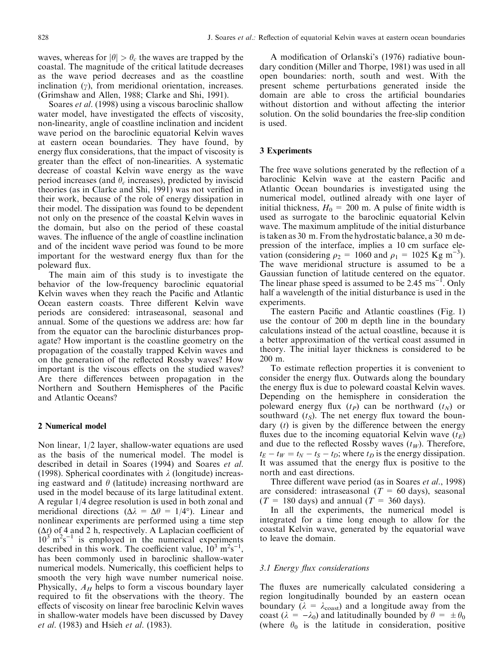waves, whereas for  $|\theta| > \theta_c$  the waves are trapped by the coastal. The magnitude of the critical latitude decreases as the wave period decreases and as the coastline inclination  $(y)$ , from meridional orientation, increases. (Grimshaw and Allen, 1988; Clarke and Shi, 1991).

Soares *et al.* (1998) using a viscous baroclinic shallow water model, have investigated the effects of viscosity, non-linearity, angle of coastline inclination and incident wave period on the baroclinic equatorial Kelvin waves at eastern ocean boundaries. They have found, by energy flux considerations, that the impact of viscosity is greater than the effect of non-linearities. A systematic decrease of coastal Kelvin wave energy as the wave period increases (and  $\theta_c$  increases), predicted by inviscid theories (as in Clarke and Shi, 1991) was not verified in their work, because of the role of energy dissipation in their model. The dissipation was found to be dependent not only on the presence of the coastal Kelvin waves in the domain, but also on the period of these coastal waves. The influence of the angle of coastline inclination and of the incident wave period was found to be more important for the westward energy flux than for the poleward flux.

The main aim of this study is to investigate the behavior of the low-frequency baroclinic equatorial Kelvin waves when they reach the Pacific and Atlantic Ocean eastern coasts. Three different Kelvin wave periods are considered: intraseasonal, seasonal and annual. Some of the questions we address are: how far from the equator can the baroclinic disturbances propagate? How important is the coastline geometry on the propagation of the coastally trapped Kelvin waves and on the generation of the reflected Rossby waves? How important is the viscous effects on the studied waves? Are there differences between propagation in the Northern and Southern Hemispheres of the Pacific and Atlantic Oceans?

## 2 Numerical model

Non linear, 1/2 layer, shallow-water equations are used as the basis of the numerical model. The model is described in detail in Soares (1994) and Soares et al. (1998). Spherical coordinates with  $\lambda$  (longitude) increasing eastward and  $\theta$  (latitude) increasing northward are used in the model because of its large latitudinal extent. A regular 1/4 degree resolution is used in both zonal and meridional directions ( $\Delta \lambda = \Delta \theta = 1/4^{\circ}$ ). Linear and nonlinear experiments are performed using a time step  $(\Delta t)$  of 4 and 2 h, respectively. A Laplacian coefficient of  $10^3$  m<sup>2</sup>s<sup>-1</sup> is employed in the numerical experiments described in this work. The coefficient value,  $10^3 \text{ m}^2\text{s}^{-1}$ , has been commonly used in baroclinic shallow-water numerical models. Numerically, this coefficient helps to smooth the very high wave number numerical noise. Physically,  $A_H$  helps to form a viscous boundary layer required to fit the observations with the theory. The effects of viscosity on linear free baroclinic Kelvin waves in shallow-water models have been discussed by Davey et al. (1983) and Hsieh et al. (1983).

A modification of Orlanski's (1976) radiative boundary condition (Miller and Thorpe, 1981) was used in all open boundaries: north, south and west. With the present scheme perturbations generated inside the domain are able to cross the artificial boundaries without distortion and without affecting the interior solution. On the solid boundaries the free-slip condition is used.

## 3 Experiments

The free wave solutions generated by the reflection of a baroclinic Kelvin wave at the eastern Pacific and Atlantic Ocean boundaries is investigated using the numerical model, outlined already with one layer of initial thickness,  $H_0 = 200$  m. A pulse of finite width is used as surrogate to the baroclinic equatorial Kelvin wave. The maximum amplitude of the initial disturbance is taken as 30 m. From the hydrostatic balance, a 30 m depression of the interface, implies a 10 cm surface elevation (considering  $\rho_2 = 1060$  and  $\rho_1 = 1025$  Kg m<sup>-3</sup>). The wave meridional structure is assumed to be a Gaussian function of latitude centered on the equator. The linear phase speed is assumed to be 2.45  $\text{ms}^{-1}$ . Only half a wavelength of the initial disturbance is used in the experiments.

The eastern Pacific and Atlantic coastlines (Fig. 1) use the contour of 200 m depth line in the boundary calculations instead of the actual coastline, because it is a better approximation of the vertical coast assumed in theory. The initial layer thickness is considered to be 200 m.

To estimate reflection properties it is convenient to consider the energy flux. Outwards along the boundary the energy flux is due to poleward coastal Kelvin waves. Depending on the hemisphere in consideration the poleward energy flux  $(t_P)$  can be northward  $(t_N)$  or southward  $(t<sub>S</sub>)$ . The net energy flux toward the boundary  $(t)$  is given by the difference between the energy fluxes due to the incoming equatorial Kelvin wave  $(t_F)$ and due to the reflected Rossby waves  $(t_W)$ . Therefore,  $t_E - t_W = t_N - t_S - t_D$ ; where  $t_D$  is the energy dissipation. It was assumed that the energy flux is positive to the north and east directions.

Three different wave period (as in Soares et al., 1998) are considered: intraseasonal  $(T = 60 \text{ days})$ , seasonal  $(T = 180$  days) and annual  $(T = 360$  days).

In all the experiments, the numerical model is integrated for a time long enough to allow for the coastal Kelvin wave, generated by the equatorial wave to leave the domain.

## 3.1 Energy flux considerations

The fluxes are numerically calculated considering a region longitudinally bounded by an eastern ocean boundary ( $\lambda = \lambda_{\text{coast}}$ ) and a longitude away from the coast ( $\lambda = -\lambda_0$ ) and latitudinally bounded by  $\theta = \pm \theta_0$ (where  $\theta_0$  is the latitude in consideration, positive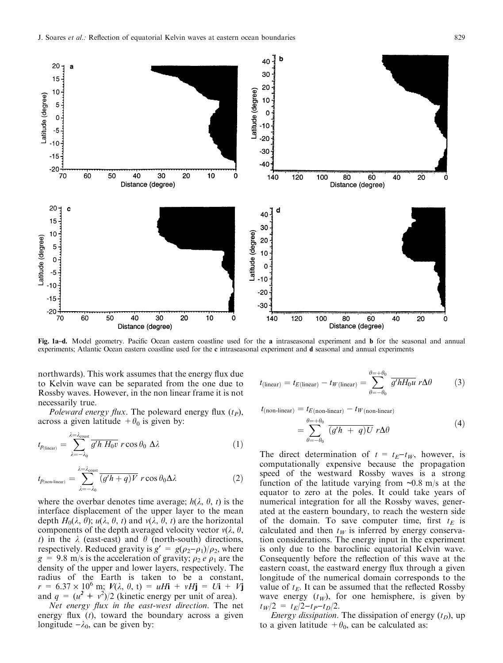

Fig. 1a-d. Model geometry. Pacific Ocean eastern coastline used for the a intraseasonal experiment and b for the seasonal and annual experiments; Atlantic Ocean eastern coastline used for the c intraseasonal experiment and d seasonal and annual experiments

northwards). This work assumes that the energy flux due to Kelvin wave can be separated from the one due to Rossby waves. However, in the non linear frame it is not necessarily true.

Poleward energy flux. The poleward energy flux  $(t_P)$ , across a given latitude  $+\theta_0$  is given by:

$$
t_{p_{(\text{linear})}} = \sum_{\lambda = -\lambda_0}^{\lambda = \lambda_{\text{const}}} \overline{g'h H_0 v} \ r \cos \theta_0 \ \Delta \lambda \tag{1}
$$

$$
t_{p_{(\text{non-linear})}} = \sum_{\lambda=-\lambda_0}^{\lambda=\lambda_{\text{const}}} \overline{(g/h+q)V} \ r \cos \theta_0 \Delta \lambda \tag{2}
$$

where the overbar denotes time average;  $h(\lambda, \theta, t)$  is the interface displacement of the upper layer to the mean depth  $H_0(\lambda, \theta)$ ;  $u(\lambda, \theta, t)$  and  $v(\lambda, \theta, t)$  are the horizontal components of the depth averaged velocity vector  $v(\lambda, \theta, \theta)$ t) in the  $\lambda$  (east-east) and  $\theta$  (north-south) directions, respectively. Reduced gravity is  $g' = g(\rho_2 - \rho_1)/\rho_2$ , where  $g = 9.8$  m/s is the acceleration of gravity;  $\rho_2 e \rho_1$  are the density of the upper and lower layers, respectively. The radius of the Earth is taken to be a constant,  $r = 6.37 \times 10^6 \text{ m}; V(\lambda, \theta, t) = uH\mathbf{i} + vH\mathbf{j} = U\mathbf{i} + V\mathbf{j}$ and  $q = (u^2 + v^2)/2$  (kinetic energy per unit of area).

Net energy flux in the east-west direction. The net energy flux  $(t)$ , toward the boundary across a given longitude  $-\lambda_0$ , can be given by:

$$
t_{\text{(linear)}} = t_{E\text{(linear)}} - t_{W\text{(linear)}} = \sum_{\theta=-\theta_0}^{\theta=+\theta_0} \overline{g'hH_0u} \ r\Delta\theta \tag{3}
$$

 $t_{(non-linear)} = t_{E(non-linear)} - t_{W(non-linear)}$ 

$$
=\sum_{\theta=-\theta_0}^{\theta=+\theta_0} \overline{(g'h+q)U} r\Delta\theta \tag{4}
$$

The direct determination of  $t = t_E - t_W$ , however, is computationally expensive because the propagation speed of the westward Rossby waves is a strong function of the latitude varying from  $\sim 0.8$  m/s at the equator to zero at the poles. It could take years of numerical integration for all the Rossby waves, generated at the eastern boundary, to reach the western side of the domain. To save computer time, first  $t_E$  is calculated and then  $t_W$  is inferred by energy conservation considerations. The energy input in the experiment is only due to the baroclinic equatorial Kelvin wave. Consequently before the reflection of this wave at the eastern coast, the eastward energy flux through a given longitude of the numerical domain corresponds to the value of  $t_E$ . It can be assumed that the reflected Rossby wave energy  $(t_W)$ , for one hemisphere, is given by  $t_W/2 = t_E/2-t_P-t_D/2.$ 

*Energy dissipation*. The dissipation of energy  $(t_D)$ , up to a given latitude  $+\theta_0$ , can be calculated as: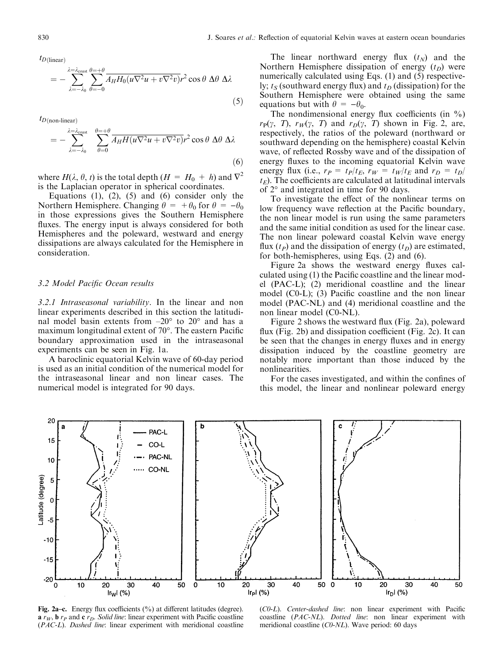$t_{D(\text{linear})}$ 

$$
= -\sum_{\lambda=-\lambda_0}^{\lambda=\lambda_{\text{const}}} \sum_{\theta=-0}^{\theta=-\theta} \overline{A_H H_0 (u\nabla^2 u + v\nabla^2 v)} r^2 \cos\theta \; \Delta\theta \; \Delta\lambda \tag{5}
$$

 $t_{D(\text{non-linear})}$ 

$$
= -\sum_{\lambda=-\lambda_0}^{\lambda=\lambda_{\text{const}}} \sum_{\theta=0}^{\theta=+\theta} \overline{A_H H(u\nabla^2 u + v\nabla^2 v)} r^2 \cos\theta \, \Delta\theta \, \Delta\lambda \tag{6}
$$

where  $H(\lambda, \theta, t)$  is the total depth  $(H = H_0 + h)$  and  $\nabla^2$ is the Laplacian operator in spherical coordinates.

Equations  $(1)$ ,  $(2)$ ,  $(5)$  and  $(6)$  consider only the Northern Hemisphere. Changing  $\theta = +\theta_0$  for  $\theta = -\theta_0$ in those expressions gives the Southern Hemisphere fluxes. The energy input is always considered for both Hemispheres and the poleward, westward and energy dissipations are always calculated for the Hemisphere in consideration.

#### 3.2 Model Pacific Ocean results

3.2.1 Intraseasonal variability. In the linear and non linear experiments described in this section the latitudinal model basin extents from  $-20^{\circ}$  to  $20^{\circ}$  and has a maximum longitudinal extent of  $70^\circ$ . The eastern Pacific boundary approximation used in the intraseasonal experiments can be seen in Fig. 1a.

A baroclinic equatorial Kelvin wave of 60-day period is used as an initial condition of the numerical model for the intraseasonal linear and non linear cases. The numerical model is integrated for 90 days.

The linear northward energy flux  $(t_N)$  and the Northern Hemisphere dissipation of energy  $(t_D)$  were numerically calculated using Eqs. (1) and (5) respectively;  $t<sub>S</sub>$  (southward energy flux) and  $t<sub>D</sub>$  (dissipation) for the Southern Hemisphere were obtained using the same equations but with  $\theta = -\theta_0$ .

The nondimensional energy flux coefficients (in  $\%$ )  $r_{\rm P}(\gamma, T)$ ,  $r_W(\gamma, T)$  and  $r_D(\gamma, T)$  shown in Fig. 2, are, respectively, the ratios of the poleward (northward or southward depending on the hemisphere) coastal Kelvin wave, of reflected Rossby wave and of the dissipation of energy fluxes to the incoming equatorial Kelvin wave energy flux (i.e.,  $r_P = t_P/t_E$ ,  $r_W = t_W/t_E$  and  $r_D = t_D/$  $t_E$ ). The coefficients are calculated at latitudinal intervals of 2° and integrated in time for 90 days.

To investigate the effect of the nonlinear terms on low frequency wave reflection at the Pacific boundary, the non linear model is run using the same parameters and the same initial condition as used for the linear case. The non linear poleward coastal Kelvin wave energy flux  $(t_P)$  and the dissipation of energy  $(t_D)$  are estimated, for both-hemispheres, using Eqs. (2) and (6).

Figure 2a shows the westward energy fluxes calculated using  $(1)$  the Pacific coastline and the linear model (PAC-L); (2) meridional coastline and the linear model  $(C0-L)$ ; (3) Pacific coastline and the non linear model (PAC-NL) and (4) meridional coastline and the non linear model (C0-NL).

Figure 2 shows the westward flux (Fig. 2a), poleward flux (Fig. 2b) and dissipation coefficient (Fig. 2c). It can be seen that the changes in energy fluxes and in energy dissipation induced by the coastline geometry are notably more important than those induced by the nonlinearities.

For the cases investigated, and within the confines of this model, the linear and nonlinear poleward energy



Fig. 2a-c. Energy flux coefficients  $(\%)$  at different latitudes (degree).  $\mathbf{a} \, r_W$ ,  $\mathbf{b} \, r_P$  and  $\mathbf{c} \, r_D$ . Solid line: linear experiment with Pacific coastline (PAC-L). Dashed line: linear experiment with meridional coastline

 $(C0-L)$ . Center-dashed line: non linear experiment with Pacific coastline (PAC-NL). Dotted line: non linear experiment with meridional coastline (C0-NL). Wave period: 60 days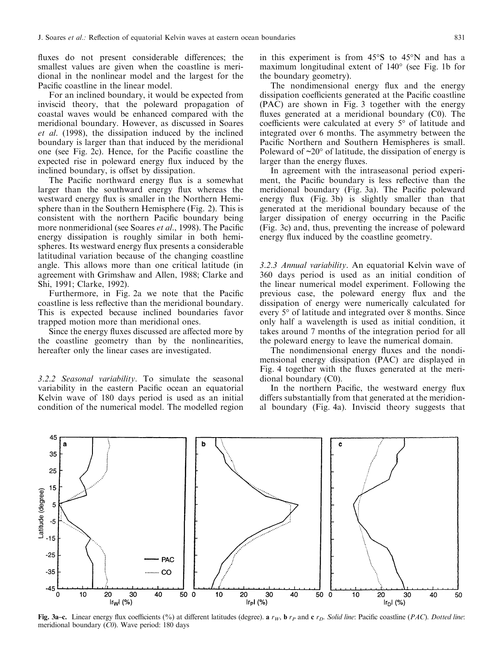fluxes do not present considerable differences; the smallest values are given when the coastline is meridional in the nonlinear model and the largest for the Pacific coastline in the linear model.

For an inclined boundary, it would be expected from inviscid theory, that the poleward propagation of coastal waves would be enhanced compared with the meridional boundary. However, as discussed in Soares et al. (1998), the dissipation induced by the inclined boundary is larger than that induced by the meridional one (see Fig. 2c). Hence, for the Pacific coastline the expected rise in poleward energy flux induced by the inclined boundary, is offset by dissipation.

The Pacific northward energy flux is a somewhat larger than the southward energy flux whereas the westward energy flux is smaller in the Northern Hemisphere than in the Southern Hemisphere (Fig. 2). This is consistent with the northern Pacific boundary being more nonmeridional (see Soares et al., 1998). The Pacific energy dissipation is roughly similar in both hemispheres. Its westward energy flux presents a considerable latitudinal variation because of the changing coastline angle. This allows more than one critical latitude (in agreement with Grimshaw and Allen, 1988; Clarke and Shi, 1991; Clarke, 1992).

Furthermore, in Fig. 2a we note that the Pacific coastline is less reflective than the meridional boundary. This is expected because inclined boundaries favor trapped motion more than meridional ones.

Since the energy fluxes discussed are affected more by the coastline geometry than by the nonlinearities, hereafter only the linear cases are investigated.

3.2.2 Seasonal variability. To simulate the seasonal variability in the eastern Pacific ocean an equatorial Kelvin wave of 180 days period is used as an initial condition of the numerical model. The modelled region in this experiment is from 45°S to 45°N and has a maximum longitudinal extent of 140° (see Fig. 1b for the boundary geometry).

The nondimensional energy flux and the energy dissipation coefficients generated at the Pacific coastline (PAC) are shown in Fig. 3 together with the energy fluxes generated at a meridional boundary  $(C0)$ . The coefficients were calculated at every  $5^{\circ}$  of latitude and integrated over 6 months. The asymmetry between the Pacific Northern and Southern Hemispheres is small. Poleward of  $\sim 20^{\circ}$  of latitude, the dissipation of energy is larger than the energy fluxes.

In agreement with the intraseasonal period experiment, the Pacific boundary is less reflective than the meridional boundary (Fig. 3a). The Pacific poleward energy flux  $(Fig. 3b)$  is slightly smaller than that generated at the meridional boundary because of the larger dissipation of energy occurring in the Pacific (Fig. 3c) and, thus, preventing the increase of poleward energy flux induced by the coastline geometry.

3.2.3 Annual variability. An equatorial Kelvin wave of 360 days period is used as an initial condition of the linear numerical model experiment. Following the previous case, the poleward energy flux and the dissipation of energy were numerically calculated for every 5° of latitude and integrated over 8 months. Since only half a wavelength is used as initial condition, it takes around 7 months of the integration period for all the poleward energy to leave the numerical domain.

The nondimensional energy fluxes and the nondimensional energy dissipation (PAC) are displayed in Fig. 4 together with the fluxes generated at the meridional boundary (C0).

In the northern Pacific, the westward energy flux differs substantially from that generated at the meridional boundary (Fig. 4a). Inviscid theory suggests that



Fig. 3a-c. Linear energy flux coefficients (%) at different latitudes (degree). a  $r_W$ , b  $r_P$  and c  $r_D$ . Solid line: Pacific coastline (PAC). Dotted line: meridional boundary (C0). Wave period: 180 days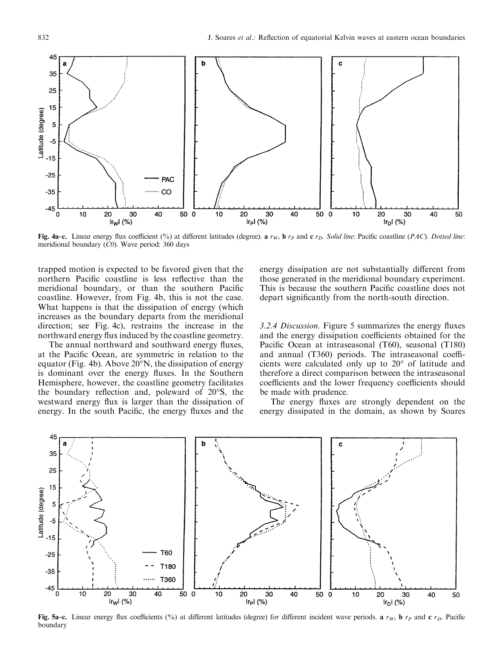

Fig. 4a-c. Linear energy flux coefficient (%) at different latitudes (degree). a  $r_W$ , b  $r_P$  and c  $r_D$ . Solid line: Pacific coastline (PAC). Dotted line: meridional boundary  $(C0)$ . Wave period: 360 days

trapped motion is expected to be favored given that the northern Pacific coastline is less reflective than the meridional boundary, or than the southern Pacific coastline. However, from Fig. 4b, this is not the case. What happens is that the dissipation of energy (which increases as the boundary departs from the meridional direction; see Fig. 4c), restrains the increase in the northward energy flux induced by the coastline geometry.

The annual northward and southward energy fluxes, at the Pacific Ocean, are symmetric in relation to the equator (Fig. 4b). Above 20°N, the dissipation of energy is dominant over the energy fluxes. In the Southern Hemisphere, however, the coastline geometry facilitates the boundary reflection and, poleward of  $20^{\circ}$ S, the westward energy flux is larger than the dissipation of energy. In the south Pacific, the energy fluxes and the

energy dissipation are not substantially different from those generated in the meridional boundary experiment. This is because the southern Pacific coastline does not depart significantly from the north-south direction.

3.2.4 Discussion. Figure 5 summarizes the energy fluxes and the energy dissipation coefficients obtained for the Pacific Ocean at intraseasonal (T60), seasonal (T180) and annual  $(T360)$  periods. The intraseasonal coefficients were calculated only up to 20° of latitude and therefore a direct comparison between the intraseasonal coefficients and the lower frequency coefficients should be made with prudence.

The energy fluxes are strongly dependent on the energy dissipated in the domain, as shown by Soares



Fig. 5a-c. Linear energy flux coefficients (%) at different latitudes (degree) for different incident wave periods. a  $r_W$ , b  $r_P$  and c  $r_D$ . Pacific boundary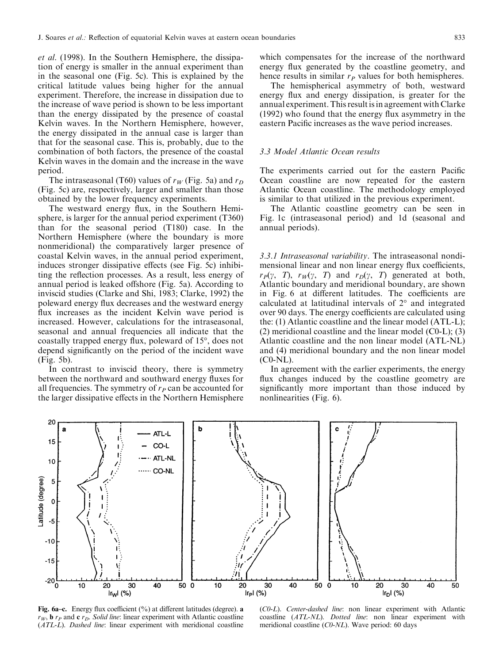et al. (1998). In the Southern Hemisphere, the dissipation of energy is smaller in the annual experiment than in the seasonal one (Fig. 5c). This is explained by the critical latitude values being higher for the annual experiment. Therefore, the increase in dissipation due to the increase of wave period is shown to be less important than the energy dissipated by the presence of coastal Kelvin waves. In the Northern Hemisphere, however, the energy dissipated in the annual case is larger than that for the seasonal case. This is, probably, due to the combination of both factors, the presence of the coastal Kelvin waves in the domain and the increase in the wave period.

The intraseasonal (T60) values of  $r_W$  (Fig. 5a) and  $r_D$ (Fig. 5c) are, respectively, larger and smaller than those obtained by the lower frequency experiments.

The westward energy flux, in the Southern Hemisphere, is larger for the annual period experiment (T360) than for the seasonal period (T180) case. In the Northern Hemisphere (where the boundary is more nonmeridional) the comparatively larger presence of coastal Kelvin waves, in the annual period experiment, induces stronger dissipative effects (see Fig. 5c) inhibiting the reflection processes. As a result, less energy of annual period is leaked offshore (Fig. 5a). According to inviscid studies (Clarke and Shi, 1983; Clarke, 1992) the poleward energy flux decreases and the westward energy flux increases as the incident Kelvin wave period is increased. However, calculations for the intraseasonal, seasonal and annual frequencies all indicate that the coastally trapped energy flux, poleward of 15°, does not depend significantly on the period of the incident wave (Fig. 5b).

In contrast to inviscid theory, there is symmetry between the northward and southward energy fluxes for all frequencies. The symmetry of  $r_P$  can be accounted for the larger dissipative effects in the Northern Hemisphere

which compensates for the increase of the northward energy flux generated by the coastline geometry, and hence results in similar  $r_P$  values for both hemispheres.

The hemispherical asymmetry of both, westward energy flux and energy dissipation, is greater for the annual experiment. This result is in agreement with Clarke  $(1992)$  who found that the energy flux asymmetry in the eastern Pacific increases as the wave period increases.

#### 3.3 Model Atlantic Ocean results

The experiments carried out for the eastern Pacific Ocean coastline are now repeated for the eastern Atlantic Ocean coastline. The methodology employed is similar to that utilized in the previous experiment.

The Atlantic coastline geometry can be seen in Fig. 1c (intraseasonal period) and 1d (seasonal and annual periods).

3.3.1 Intraseasonal variability. The intraseasonal nondimensional linear and non linear energy flux coefficients,  $r_P(\gamma, T)$ ,  $r_W(\gamma, T)$  and  $r_D(\gamma, T)$  generated at both, Atlantic boundary and meridional boundary, are shown in Fig. 6 at different latitudes. The coefficients are calculated at latitudinal intervals of 2° and integrated over 90 days. The energy coefficients are calculated using the: (1) Atlantic coastline and the linear model (ATL-L); (2) meridional coastline and the linear model (C0-L); (3) Atlantic coastline and the non linear model (ATL-NL) and (4) meridional boundary and the non linear model (C0-NL).

In agreement with the earlier experiments, the energy flux changes induced by the coastline geometry are significantly more important than those induced by nonlinearities (Fig. 6).



Fig. 6a-c. Energy flux coefficient  $(\% )$  at different latitudes (degree). a  $r_W$ , **b**  $r_P$  and **c**  $r_D$ . Solid line: linear experiment with Atlantic coastline (ATL-L). Dashed line: linear experiment with meridional coastline

(C0-L). Center-dashed line: non linear experiment with Atlantic coastline (ATL-NL). Dotted line: non linear experiment with meridional coastline (C0-NL). Wave period: 60 days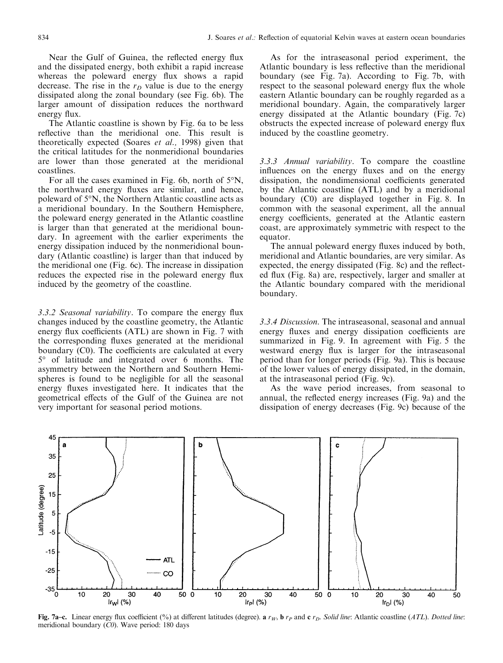Near the Gulf of Guinea, the reflected energy flux and the dissipated energy, both exhibit a rapid increase whereas the poleward energy flux shows a rapid decrease. The rise in the  $r<sub>D</sub>$  value is due to the energy dissipated along the zonal boundary (see Fig. 6b). The larger amount of dissipation reduces the northward energy flux.

The Atlantic coastline is shown by Fig. 6a to be less reflective than the meridional one. This result is theoretically expected (Soares et al., 1998) given that the critical latitudes for the nonmeridional boundaries are lower than those generated at the meridional coastlines.

For all the cases examined in Fig. 6b, north of 5°N, the northward energy fluxes are similar, and hence, poleward of 5°N, the Northern Atlantic coastline acts as a meridional boundary. In the Southern Hemisphere, the poleward energy generated in the Atlantic coastline is larger than that generated at the meridional boundary. In agreement with the earlier experiments the energy dissipation induced by the nonmeridional boundary (Atlantic coastline) is larger than that induced by the meridional one (Fig. 6c). The increase in dissipation reduces the expected rise in the poleward energy flux induced by the geometry of the coastline.

 $3.3.2$  Seasonal variability. To compare the energy flux changes induced by the coastline geometry, the Atlantic energy flux coefficients  $(ATL)$  are shown in Fig. 7 with the corresponding fluxes generated at the meridional boundary  $(C0)$ . The coefficients are calculated at every 5° of latitude and integrated over 6 months. The asymmetry between the Northern and Southern Hemispheres is found to be negligible for all the seasonal energy fluxes investigated here. It indicates that the geometrical effects of the Gulf of the Guinea are not very important for seasonal period motions.

As for the intraseasonal period experiment, the Atlantic boundary is less reflective than the meridional boundary (see Fig. 7a). According to Fig. 7b, with respect to the seasonal poleward energy flux the whole eastern Atlantic boundary can be roughly regarded as a meridional boundary. Again, the comparatively larger energy dissipated at the Atlantic boundary (Fig. 7c) obstructs the expected increase of poleward energy flux induced by the coastline geometry.

3.3.3 Annual variability. To compare the coastline influences on the energy fluxes and on the energy dissipation, the nondimensional coefficients generated by the Atlantic coastline (ATL) and by a meridional boundary (C0) are displayed together in Fig. 8. In common with the seasonal experiment, all the annual energy coefficients, generated at the Atlantic eastern coast, are approximately symmetric with respect to the equator.

The annual poleward energy fluxes induced by both, meridional and Atlantic boundaries, are very similar. As expected, the energy dissipated (Fig. 8c) and the reflected flux (Fig. 8a) are, respectively, larger and smaller at the Atlantic boundary compared with the meridional boundary.

3.3.4 Discussion. The intraseasonal, seasonal and annual energy fluxes and energy dissipation coefficients are summarized in Fig. 9. In agreement with Fig. 5 the westward energy flux is larger for the intraseasonal period than for longer periods (Fig. 9a). This is because of the lower values of energy dissipated, in the domain, at the intraseasonal period (Fig. 9c).

As the wave period increases, from seasonal to annual, the reflected energy increases (Fig. 9a) and the dissipation of energy decreases (Fig. 9c) because of the



Fig. 7a-c. Linear energy flux coefficient (%) at different latitudes (degree). a r<sub>W</sub>, b r<sub>P</sub> and c r<sub>D</sub>. Solid line: Atlantic coastline (ATL). Dotted line: meridional boundary (C0). Wave period: 180 days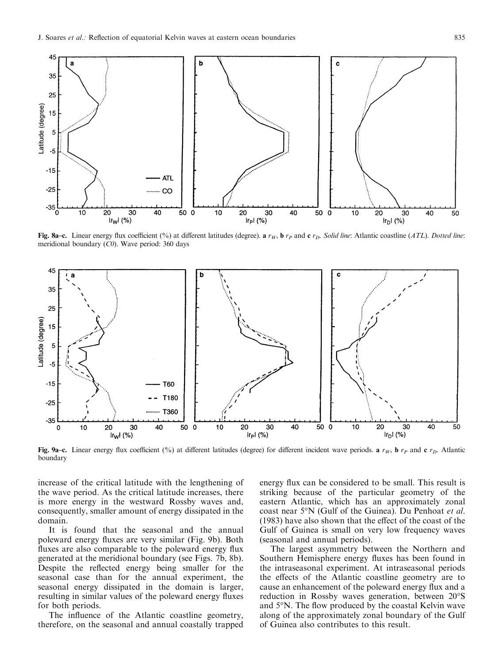

Fig. 8a-c. Linear energy flux coefficient (%) at different latitudes (degree). a  $r_W$ , b  $r_P$  and c  $r_D$ . Solid line: Atlantic coastline (ATL). Dotted line: meridional boundary  $(C0)$ . Wave period: 360 days



Fig. 9a-c. Linear energy flux coefficient (%) at different latitudes (degree) for different incident wave periods. a  $r_W$ , b  $r_P$  and c  $r_D$ . Atlantic boundary

increase of the critical latitude with the lengthening of the wave period. As the critical latitude increases, there is more energy in the westward Rossby waves and, consequently, smaller amount of energy dissipated in the domain.

It is found that the seasonal and the annual poleward energy fluxes are very similar (Fig. 9b). Both fluxes are also comparable to the poleward energy flux generated at the meridional boundary (see Figs. 7b, 8b). Despite the reflected energy being smaller for the seasonal case than for the annual experiment, the seasonal energy dissipated in the domain is larger, resulting in similar values of the poleward energy fluxes for both periods.

The influence of the Atlantic coastline geometry, therefore, on the seasonal and annual coastally trapped energy flux can be considered to be small. This result is striking because of the particular geometry of the eastern Atlantic, which has an approximately zonal coast near 5°N (Gulf of the Guinea). Du Penhoat et al.  $(1983)$  have also shown that the effect of the coast of the Gulf of Guinea is small on very low frequency waves (seasonal and annual periods).

The largest asymmetry between the Northern and Southern Hemisphere energy fluxes has been found in the intraseasonal experiment. At intraseasonal periods the effects of the Atlantic coastline geometry are to cause an enhancement of the poleward energy flux and a reduction in Rossby waves generation, between 20°S and 5°N. The flow produced by the coastal Kelvin wave along of the approximately zonal boundary of the Gulf of Guinea also contributes to this result.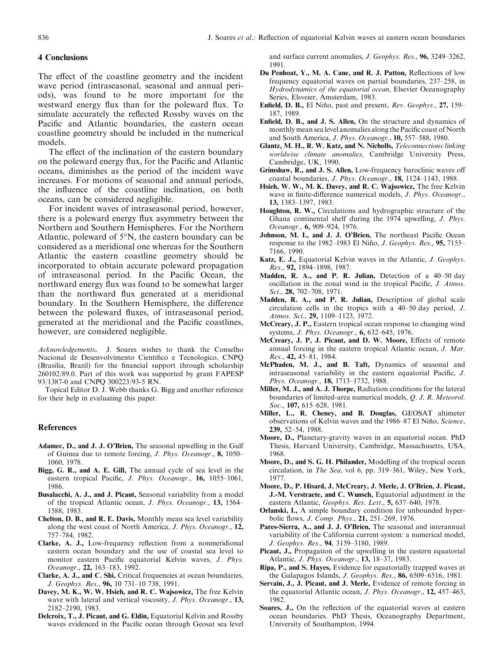## 4 Conclusions

The effect of the coastline geometry and the incident wave period (intraseasonal, seasonal and annual periods), was found to be more important for the westward energy flux than for the poleward flux. To simulate accurately the reflected Rossby waves on the Pacific and Atlantic boundaries, the eastern ocean coastline geometry should be included in the numerical models.

The effect of the inclination of the eastern boundary on the poleward energy flux, for the Pacific and Atlantic oceans, diminishes as the period of the incident wave increases. For motions of seasonal and annual periods, the influence of the coastline inclination, on both oceans, can be considered negligible.

For incident waves of intraseasonal period, however, there is a poleward energy flux asymmetry between the Northern and Southern Hemispheres. For the Northern Atlantic, poleward of 5°N, the eastern boundary can be considered as a meridional one whereas for the Southern Atlantic the eastern coastline geometry should be incorporated to obtain accurate poleward propagation of intraseasonal period. In the Pacific Ocean, the northward energy flux was found to be somewhat larger than the northward flux generated at a meridional boundary. In the Southern Hemisphere, the difference between the poleward fluxes, of intraseasonal period, generated at the meridional and the Pacific coastlines, however, are considered negligible.

Acknowledgements. J. Soares wishes to thank the Conselho Nacional de Desenvolvimento Científico e Tecnologico, CNPQ (Brasilia, Brazil) for the financial support through scholarship 260102/89.0. Part of this work was supported by grant FAPESP 93/1387-0 and CNPQ 300223/93-5 RN.

Topical Editor D. J. Webb thanks G. Bigg and another reference for their help in evaluating this paper.

#### References

- Adamec, D., and J. J. O'Brien, The seasonal upwelling in the Gulf of Guinea due to remote forcing, J. Phys. Oceanogr., 8, 1050-1060, 1978.
- Bigg, G. R., and A. E. Gill, The annual cycle of sea level in the eastern tropical Pacific, J. Phys. Oceanogr., 16, 1055-1061, 1986.
- Busalacchi, A. J., and J. Picaut, Seasonal variability from a model of the tropical Atlantic ocean, *J. Phys. Oceanogr.*, **13,** 1564– 1588, 1983.
- Chelton, D. B., and R. E. Davis, Monthly mean sea level variability along the west coast of North America, J. Phys. Oceanogr., 12, 757±784, 1982.
- Clarke, A. J., Low-frequency reflection from a nonmeridional eastern ocean boundary and the use of coastal sea level to monitor eastern Pacific equatorial Kelvin waves, J. Phys. Oceanogr., 22, 163-183, 1992.
- Clarke, A. J., and C. Shi, Critical frequencies at ocean boundaries, J. Geophys. Res., 96, 10 731-10 738, 1991.
- Davey, M. K., W. W. Hsieh, and R. C. Wajsowicz, The free Kelvin wave with lateral and vertical viscosity, *J. Phys. Oceanogr.*, 13, 2182±2190, 1983.
- Delcroix, T., J. Picaut, and G. Eldin, Equatorial Kelvin and Rossby waves evidenced in the Pacific ocean through Geosat sea level

and surface current anomalies, J. Geophys. Res., 96, 3249-3262, 1991.

- Du Penhoat, Y., M. A. Cane, and R. J. Patton, Reflections of low frequency equatorial waves on partial boundaries, 237-258, in Hydrodynamics of the equatorial ocean, Elsevier Oceanography Series, Elsveier, Amsterdam, 1983.
- Enfield, D. B., El Niño, past and present, Rev. Geophys., 27, 159– 187, 1989.
- Enfield, D. B., and J. S. Allen, On the structure and dynamics of monthly mean sea level anomalies along the Pacific coast of North and South America, J. Phys. Oceanogr., 10, 557-588, 1980.
- Glantz, M. H., R. W. Katz, and N. Nicholls, Teleconnections linking worldwise climate anomalies, Cambridge University Press, Cambridge, UK, 1990.
- Grimshaw, R., and J. S. Allen, Low-frequency baroclinic waves off coastal boundaries, J. Phys. Oceanogr.,  $18$ ,  $1124-1143$ ,  $1988$ .
- Hsieh, W. W., M. K. Davey, and R. C. Wajsowicz, The free Kelvin wave in finite-difference numerical models, J. Phys. Oceanogr., 13, 1383-1397, 1983.
- Houghton, R. W., Circulations and hydrographic structure of the Ghana continental shelf during the 1974 upwelling, J. Phys. Oceanogr., 6, 909-924, 1976.
- Johnson, M. I., and J. J. O'Brien, The northeast Pacific Ocean response to the 1982-1983 El Niño, J. Geophys. Res., 95, 7155-7166, 1990.
- Katz, E. J., Equatorial Kelvin waves in the Atlantic, J. Geophys. Res., 92, 1894-1898, 1987.
- Madden, R. A., and P. R. Julian, Detection of a  $40-50$  day oscillation in the zonal wind in the tropical Pacific, J. Atmos. Sci., 28, 702-708, 1971.
- Madden, R. A., and P. R. Julian, Description of global scale circulation cells in the tropics with a  $40-50$  day period, J. Atmos. Sci., 29, 1109-1123, 1972.
- McCreary, J. P., Eastern tropical ocean response to changing wind systems, J. Phys. Oceanogr., 6, 632-645, 1976.
- McCreary, J. P. J. Picaut, and D. W. Moore, Effects of remote annual forcing in the eastern tropical Atlantic ocean, J. Mar. Res., 42, 45-81, 1984.
- McPhaden, M. J., and B. Taft, Dynamics of seasonal and intraseasonal variability in the eastern equatorial Pacific,  $J$ . Phys. Oceanogr., 18, 1713-1732, 1988.
- Miller, M. J., and A. J. Thorpe, Radiation conditions for the lateral boundaries of limited-area numerical models, Q. J. R. Meteorol. Soc., 107, 615-628, 1981.
- Miller, L., R. Cheney, and B. Douglas, GEOSAT altimeter observations of Kelvin waves and the 1986–87 El Niño, Science, 239, 52-54, 1988.
- Moore, D., Planetary-gravity waves in an equatorial ocean. PhD Thesis, Harvard University, Cambridge, Massachusetts, USA, 1968.
- Moore, D., and S. G. H. Philander, Modelling of the tropical ocean circulation, in *The Sea*, vol 6, pp. 319-361, Wiley, New York, 1977.
- Moore, D., P. Hisard, J. McCreary, J. Merle, J. O'Brien, J. Picaut, J.-M. Verstraete, and C. Wunsch, Equatorial adjustment in the eastern Atlantic, Geophys. Res. Lett., 5, 637-640, 1978.
- Orlanski, I., A simple boundary condition for unbounded hyperbolic flows, J. Comp. Phys., 21, 251-269, 1976.
- Pares-Sierra, A., and J. J. O'Brien, The seasonal and interannual variability of the California current system: a numerical model, J. Geophys. Res., 94, 3159-3180, 1989.
- Picaut, J., Propagation of the upwelling in the eastern equatorial Atlantic, *J. Phys. Oceanogr.*, 13, 18-37, 1983.
- Ripa, P., and S. Hayes, Evidence for equatorially trapped waves at the Galapagos Islands, *J. Geophys. Res.*, **86**, 6509–6516, 1981.
- Servain, J., J. Picaut, and J. Merle, Evidence of remote forcing in the equatorial Atlantic ocean, J. Phys. Oceanogr., 12, 457-463, 1982.
- Soares, J., On the reflection of the equatorial waves at eastern ocean boundaries. PhD Thesis, Oceanography Department, University of Southampton, 1994.